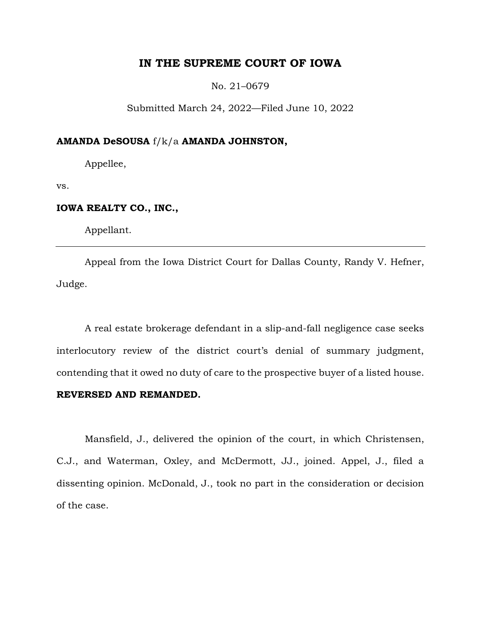# **IN THE SUPREME COURT OF IOWA**

No. 21–0679

Submitted March 24, 2022—Filed June 10, 2022

## **AMANDA DeSOUSA** f/k/a **AMANDA JOHNSTON,**

Appellee,

vs.

# **IOWA REALTY CO., INC.,**

Appellant.

Appeal from the Iowa District Court for Dallas County, Randy V. Hefner, Judge.

A real estate brokerage defendant in a slip-and-fall negligence case seeks interlocutory review of the district court's denial of summary judgment, contending that it owed no duty of care to the prospective buyer of a listed house.

# **REVERSED AND REMANDED.**

Mansfield, J., delivered the opinion of the court, in which Christensen, C.J., and Waterman, Oxley, and McDermott, JJ., joined. Appel, J., filed a dissenting opinion. McDonald, J., took no part in the consideration or decision of the case.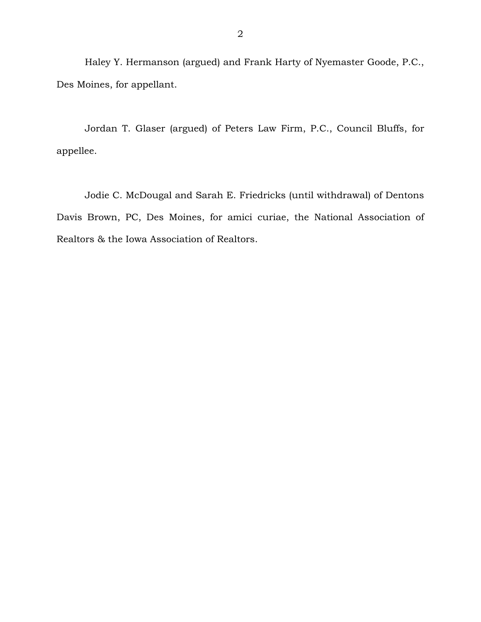Haley Y. Hermanson (argued) and Frank Harty of Nyemaster Goode, P.C., Des Moines, for appellant.

Jordan T. Glaser (argued) of Peters Law Firm, P.C., Council Bluffs, for appellee.

Jodie C. McDougal and Sarah E. Friedricks (until withdrawal) of Dentons Davis Brown, PC, Des Moines, for amici curiae, the National Association of Realtors & the Iowa Association of Realtors.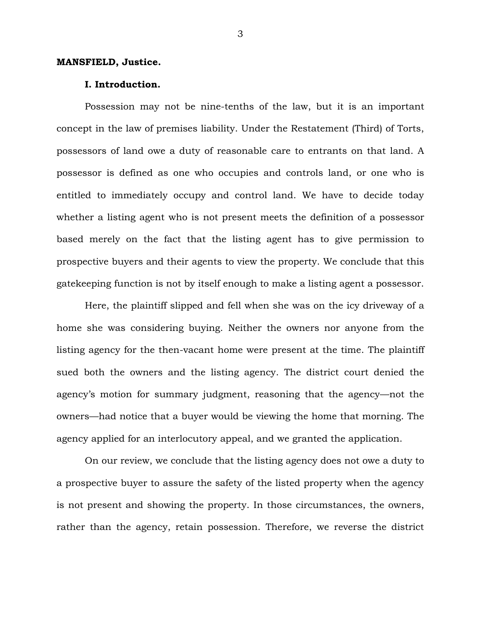#### **MANSFIELD, Justice.**

#### **I. Introduction.**

Possession may not be nine-tenths of the law, but it is an important concept in the law of premises liability. Under the Restatement (Third) of Torts, possessors of land owe a duty of reasonable care to entrants on that land. A possessor is defined as one who occupies and controls land, or one who is entitled to immediately occupy and control land. We have to decide today whether a listing agent who is not present meets the definition of a possessor based merely on the fact that the listing agent has to give permission to prospective buyers and their agents to view the property. We conclude that this gatekeeping function is not by itself enough to make a listing agent a possessor.

Here, the plaintiff slipped and fell when she was on the icy driveway of a home she was considering buying. Neither the owners nor anyone from the listing agency for the then-vacant home were present at the time. The plaintiff sued both the owners and the listing agency. The district court denied the agency's motion for summary judgment, reasoning that the agency—not the owners—had notice that a buyer would be viewing the home that morning. The agency applied for an interlocutory appeal, and we granted the application.

On our review, we conclude that the listing agency does not owe a duty to a prospective buyer to assure the safety of the listed property when the agency is not present and showing the property. In those circumstances, the owners, rather than the agency, retain possession. Therefore, we reverse the district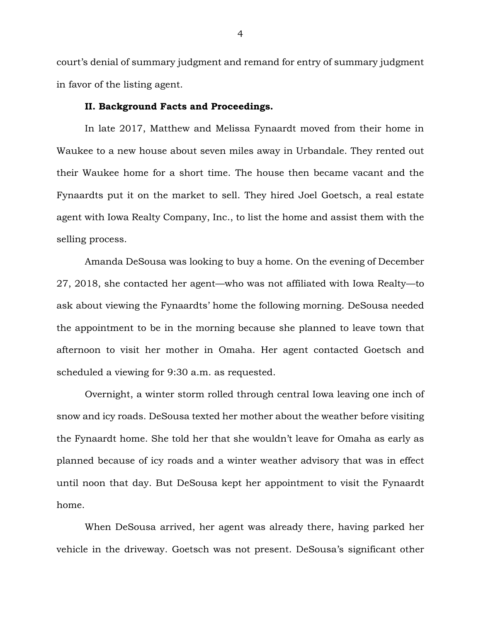court's denial of summary judgment and remand for entry of summary judgment in favor of the listing agent.

#### **II. Background Facts and Proceedings.**

In late 2017, Matthew and Melissa Fynaardt moved from their home in Waukee to a new house about seven miles away in Urbandale. They rented out their Waukee home for a short time. The house then became vacant and the Fynaardts put it on the market to sell. They hired Joel Goetsch, a real estate agent with Iowa Realty Company, Inc., to list the home and assist them with the selling process.

Amanda DeSousa was looking to buy a home. On the evening of December 27, 2018, she contacted her agent—who was not affiliated with Iowa Realty—to ask about viewing the Fynaardts' home the following morning. DeSousa needed the appointment to be in the morning because she planned to leave town that afternoon to visit her mother in Omaha. Her agent contacted Goetsch and scheduled a viewing for 9:30 a.m. as requested.

Overnight, a winter storm rolled through central Iowa leaving one inch of snow and icy roads. DeSousa texted her mother about the weather before visiting the Fynaardt home. She told her that she wouldn't leave for Omaha as early as planned because of icy roads and a winter weather advisory that was in effect until noon that day. But DeSousa kept her appointment to visit the Fynaardt home.

When DeSousa arrived, her agent was already there, having parked her vehicle in the driveway. Goetsch was not present. DeSousa's significant other

4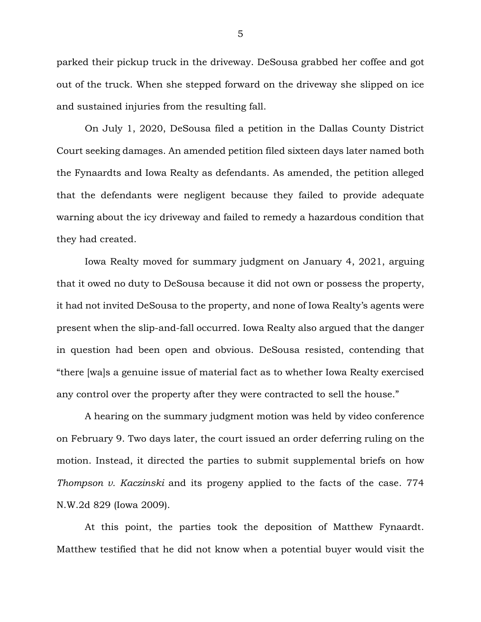parked their pickup truck in the driveway. DeSousa grabbed her coffee and got out of the truck. When she stepped forward on the driveway she slipped on ice and sustained injuries from the resulting fall.

On July 1, 2020, DeSousa filed a petition in the Dallas County District Court seeking damages. An amended petition filed sixteen days later named both the Fynaardts and Iowa Realty as defendants. As amended, the petition alleged that the defendants were negligent because they failed to provide adequate warning about the icy driveway and failed to remedy a hazardous condition that they had created.

Iowa Realty moved for summary judgment on January 4, 2021, arguing that it owed no duty to DeSousa because it did not own or possess the property, it had not invited DeSousa to the property, and none of Iowa Realty's agents were present when the slip-and-fall occurred. Iowa Realty also argued that the danger in question had been open and obvious. DeSousa resisted, contending that "there [wa]s a genuine issue of material fact as to whether Iowa Realty exercised any control over the property after they were contracted to sell the house."

A hearing on the summary judgment motion was held by video conference on February 9. Two days later, the court issued an order deferring ruling on the motion. Instead, it directed the parties to submit supplemental briefs on how *Thompson v. Kaczinski* and its progeny applied to the facts of the case. 774 N.W.2d 829 (Iowa 2009).

At this point, the parties took the deposition of Matthew Fynaardt. Matthew testified that he did not know when a potential buyer would visit the

5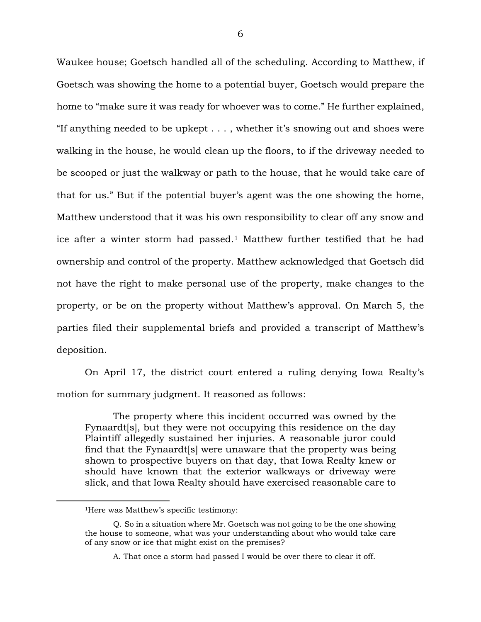Waukee house; Goetsch handled all of the scheduling. According to Matthew, if Goetsch was showing the home to a potential buyer, Goetsch would prepare the home to "make sure it was ready for whoever was to come." He further explained, "If anything needed to be upkept . . . , whether it's snowing out and shoes were walking in the house, he would clean up the floors, to if the driveway needed to be scooped or just the walkway or path to the house, that he would take care of that for us." But if the potential buyer's agent was the one showing the home, Matthew understood that it was his own responsibility to clear off any snow and ice after a winter storm had passed. <sup>1</sup> Matthew further testified that he had ownership and control of the property. Matthew acknowledged that Goetsch did not have the right to make personal use of the property, make changes to the property, or be on the property without Matthew's approval. On March 5, the parties filed their supplemental briefs and provided a transcript of Matthew's deposition.

On April 17, the district court entered a ruling denying Iowa Realty's motion for summary judgment. It reasoned as follows:

The property where this incident occurred was owned by the Fynaardt[s], but they were not occupying this residence on the day Plaintiff allegedly sustained her injuries. A reasonable juror could find that the Fynaardt[s] were unaware that the property was being shown to prospective buyers on that day, that Iowa Realty knew or should have known that the exterior walkways or driveway were slick, and that Iowa Realty should have exercised reasonable care to

 $\overline{a}$ 

<sup>1</sup>Here was Matthew's specific testimony:

Q. So in a situation where Mr. Goetsch was not going to be the one showing the house to someone, what was your understanding about who would take care of any snow or ice that might exist on the premises?

A. That once a storm had passed I would be over there to clear it off.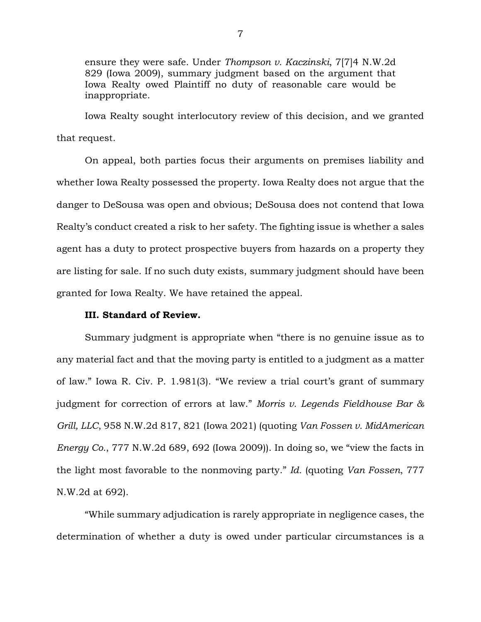ensure they were safe. Under *Thompson v. Kaczinski*, 7[7]4 N.W.2d 829 (Iowa 2009), summary judgment based on the argument that Iowa Realty owed Plaintiff no duty of reasonable care would be inappropriate.

Iowa Realty sought interlocutory review of this decision, and we granted that request.

On appeal, both parties focus their arguments on premises liability and whether Iowa Realty possessed the property. Iowa Realty does not argue that the danger to DeSousa was open and obvious; DeSousa does not contend that Iowa Realty's conduct created a risk to her safety. The fighting issue is whether a sales agent has a duty to protect prospective buyers from hazards on a property they are listing for sale. If no such duty exists, summary judgment should have been granted for Iowa Realty. We have retained the appeal.

## **III. Standard of Review.**

Summary judgment is appropriate when "there is no genuine issue as to any material fact and that the moving party is entitled to a judgment as a matter of law." Iowa R. Civ. P. 1.981(3). "We review a trial court's grant of summary judgment for correction of errors at law." *Morris v. Legends Fieldhouse Bar & Grill, LLC*, 958 N.W.2d 817, 821 (Iowa 2021) (quoting *Van Fossen v. MidAmerican Energy Co.*, 777 N.W.2d 689, 692 (Iowa 2009)). In doing so, we "view the facts in the light most favorable to the nonmoving party." *Id.* (quoting *Van Fossen*, 777 N.W.2d at 692).

"While summary adjudication is rarely appropriate in negligence cases, the determination of whether a duty is owed under particular circumstances is a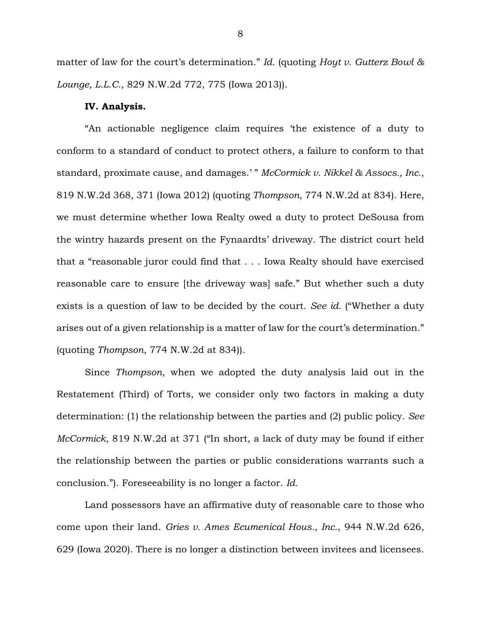matter of law for the court's determination." *Id.* (quoting *Hoyt v. Gutterz Bowl & Lounge, L.L.C.*, 829 N.W.2d 772, 775 (Iowa 2013)).

#### **IV. Analysis.**

"An actionable negligence claim requires 'the existence of a duty to conform to a standard of conduct to protect others, a failure to conform to that standard, proximate cause, and damages.' " *McCormick v. Nikkel & Assocs., Inc.*, 819 N.W.2d 368, 371 (Iowa 2012) (quoting *Thompson*, 774 N.W.2d at 834). Here, we must determine whether Iowa Realty owed a duty to protect DeSousa from the wintry hazards present on the Fynaardts' driveway. The district court held that a "reasonable juror could find that . . . Iowa Realty should have exercised reasonable care to ensure [the driveway was] safe." But whether such a duty exists is a question of law to be decided by the court. *See id.* ("Whether a duty arises out of a given relationship is a matter of law for the court's determination." (quoting *Thompson*, 774 N.W.2d at 834)).

Since *Thompson*, when we adopted the duty analysis laid out in the Restatement (Third) of Torts, we consider only two factors in making a duty determination: (1) the relationship between the parties and (2) public policy. *See McCormick*, 819 N.W.2d at 371 ("In short, a lack of duty may be found if either the relationship between the parties or public considerations warrants such a conclusion."). Foreseeability is no longer a factor. *Id.* 

Land possessors have an affirmative duty of reasonable care to those who come upon their land. *Gries v. Ames Ecumenical Hous., Inc.*, 944 N.W.2d 626, 629 (Iowa 2020). There is no longer a distinction between invitees and licensees.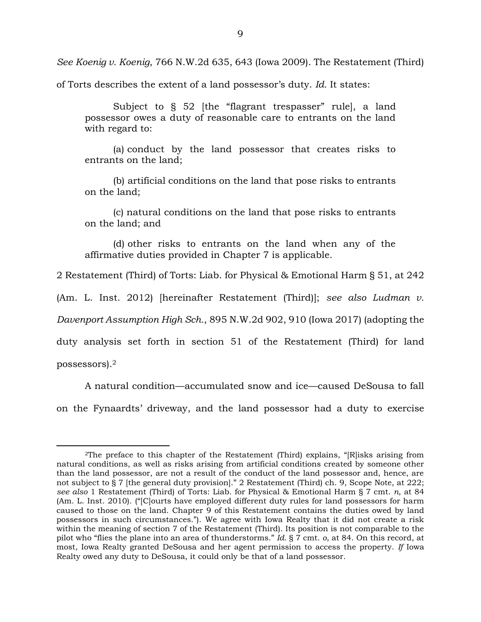*See Koenig v. Koenig*, 766 N.W.2d 635, 643 (Iowa 2009). The Restatement (Third)

of Torts describes the extent of a land possessor's duty. *Id.* It states:

Subject to § 52 [the "flagrant trespasser" rule], a land possessor owes a duty of reasonable care to entrants on the land with regard to:

(a) conduct by the land possessor that creates risks to entrants on the land;

(b) artificial conditions on the land that pose risks to entrants on the land;

(c) natural conditions on the land that pose risks to entrants on the land; and

(d) other risks to entrants on the land when any of the affirmative duties provided in Chapter 7 is applicable.

2 Restatement (Third) of Torts: Liab. for Physical & Emotional Harm § 51, at 242

(Am. L. Inst. 2012) [hereinafter Restatement (Third)]; *see also Ludman v.* 

*Davenport Assumption High Sch.*, 895 N.W.2d 902, 910 (Iowa 2017) (adopting the

duty analysis set forth in section 51 of the Restatement (Third) for land

possessors).<sup>2</sup>

 $\overline{a}$ 

A natural condition—accumulated snow and ice—caused DeSousa to fall on the Fynaardts' driveway, and the land possessor had a duty to exercise

<sup>2</sup>The preface to this chapter of the Restatement (Third) explains, "[R]isks arising from natural conditions, as well as risks arising from artificial conditions created by someone other than the land possessor, are not a result of the conduct of the land possessor and, hence, are not subject to § 7 [the general duty provision]." 2 Restatement (Third) ch. 9, Scope Note, at 222; *see also* 1 Restatement (Third) of Torts: Liab. for Physical & Emotional Harm § 7 cmt. *n*, at 84 (Am. L. Inst. 2010). ("[C]ourts have employed different duty rules for land possessors for harm caused to those on the land. Chapter 9 of this Restatement contains the duties owed by land possessors in such circumstances."). We agree with Iowa Realty that it did not create a risk within the meaning of section 7 of the Restatement (Third). Its position is not comparable to the pilot who "flies the plane into an area of thunderstorms." *Id*. § 7 cmt. *o*, at 84. On this record, at most, Iowa Realty granted DeSousa and her agent permission to access the property. *If* Iowa Realty owed any duty to DeSousa, it could only be that of a land possessor.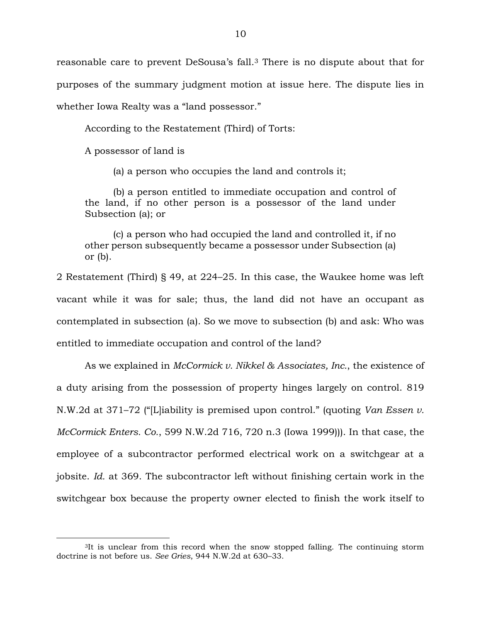reasonable care to prevent DeSousa's fall. <sup>3</sup> There is no dispute about that for purposes of the summary judgment motion at issue here. The dispute lies in whether Iowa Realty was a "land possessor."

According to the Restatement (Third) of Torts:

A possessor of land is

 $\overline{a}$ 

(a) a person who occupies the land and controls it;

(b) a person entitled to immediate occupation and control of the land, if no other person is a possessor of the land under Subsection (a); or

(c) a person who had occupied the land and controlled it, if no other person subsequently became a possessor under Subsection (a) or (b).

2 Restatement (Third) § 49, at 224–25. In this case, the Waukee home was left vacant while it was for sale; thus, the land did not have an occupant as contemplated in subsection (a). So we move to subsection (b) and ask: Who was entitled to immediate occupation and control of the land?

As we explained in *McCormick v. Nikkel & Associates, Inc.*, the existence of a duty arising from the possession of property hinges largely on control. 819 N.W.2d at 371–72 ("[L]iability is premised upon control." (quoting *Van Essen v. McCormick Enters. Co.*, 599 N.W.2d 716, 720 n.3 (Iowa 1999))). In that case, the employee of a subcontractor performed electrical work on a switchgear at a jobsite. *Id.* at 369. The subcontractor left without finishing certain work in the switchgear box because the property owner elected to finish the work itself to

<sup>&</sup>lt;sup>3</sup>It is unclear from this record when the snow stopped falling. The continuing storm doctrine is not before us. *See Gries*, 944 N.W.2d at 630–33.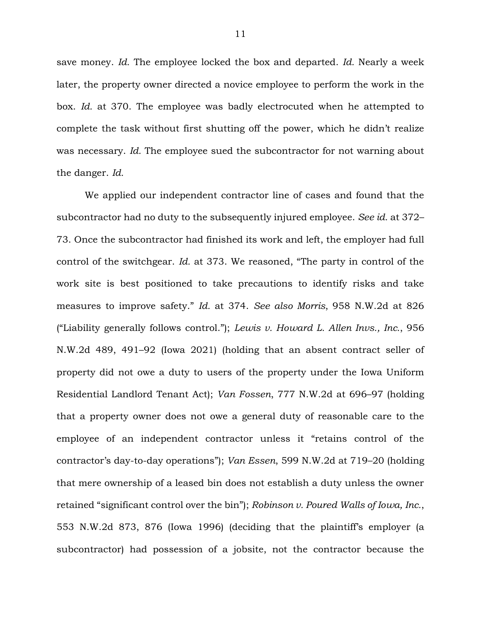save money. *Id.* The employee locked the box and departed. *Id.* Nearly a week later, the property owner directed a novice employee to perform the work in the box. *Id.* at 370. The employee was badly electrocuted when he attempted to complete the task without first shutting off the power, which he didn't realize was necessary. *Id.* The employee sued the subcontractor for not warning about the danger. *Id.*

We applied our independent contractor line of cases and found that the subcontractor had no duty to the subsequently injured employee. *See id.* at 372– 73. Once the subcontractor had finished its work and left, the employer had full control of the switchgear. *Id.* at 373. We reasoned, "The party in control of the work site is best positioned to take precautions to identify risks and take measures to improve safety." *Id.* at 374. *See also Morris*, 958 N.W.2d at 826 ("Liability generally follows control."); *Lewis v. Howard L. Allen Invs., Inc.*, 956 N.W.2d 489, 491–92 (Iowa 2021) (holding that an absent contract seller of property did not owe a duty to users of the property under the Iowa Uniform Residential Landlord Tenant Act); *Van Fossen*, 777 N.W.2d at 696–97 (holding that a property owner does not owe a general duty of reasonable care to the employee of an independent contractor unless it "retains control of the contractor's day-to-day operations"); *Van Essen*, 599 N.W.2d at 719–20 (holding that mere ownership of a leased bin does not establish a duty unless the owner retained "significant control over the bin"); *Robinson v. Poured Walls of Iowa, Inc.*, 553 N.W.2d 873, 876 (Iowa 1996) (deciding that the plaintiff's employer (a subcontractor) had possession of a jobsite, not the contractor because the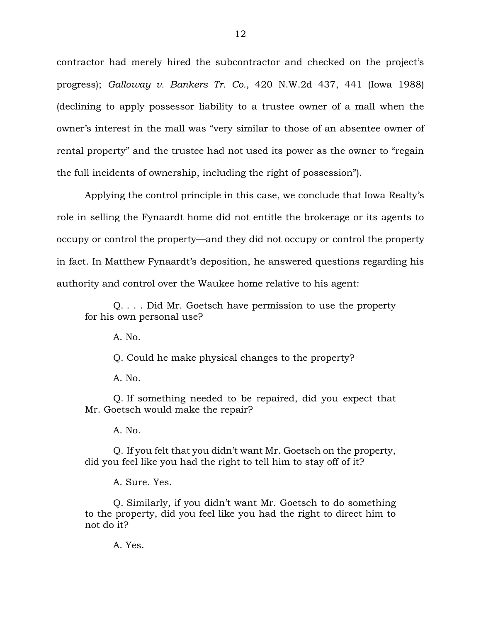contractor had merely hired the subcontractor and checked on the project's progress); *Galloway v. Bankers Tr. Co.*, 420 N.W.2d 437, 441 (Iowa 1988) (declining to apply possessor liability to a trustee owner of a mall when the owner's interest in the mall was "very similar to those of an absentee owner of rental property" and the trustee had not used its power as the owner to "regain the full incidents of ownership, including the right of possession").

Applying the control principle in this case, we conclude that Iowa Realty's role in selling the Fynaardt home did not entitle the brokerage or its agents to occupy or control the property—and they did not occupy or control the property in fact. In Matthew Fynaardt's deposition, he answered questions regarding his authority and control over the Waukee home relative to his agent:

Q. . . . Did Mr. Goetsch have permission to use the property for his own personal use?

A. No.

Q. Could he make physical changes to the property?

A. No.

Q. If something needed to be repaired, did you expect that Mr. Goetsch would make the repair?

A. No.

Q. If you felt that you didn't want Mr. Goetsch on the property, did you feel like you had the right to tell him to stay off of it?

A. Sure. Yes.

Q. Similarly, if you didn't want Mr. Goetsch to do something to the property, did you feel like you had the right to direct him to not do it?

A. Yes.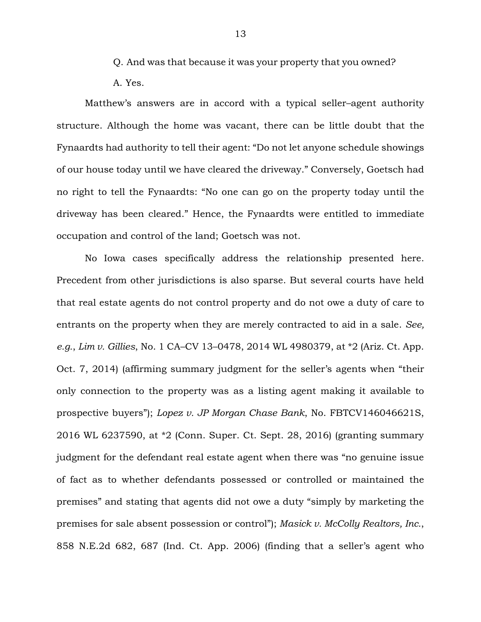Q. And was that because it was your property that you owned?

A. Yes.

Matthew's answers are in accord with a typical seller–agent authority structure. Although the home was vacant, there can be little doubt that the Fynaardts had authority to tell their agent: "Do not let anyone schedule showings of our house today until we have cleared the driveway." Conversely, Goetsch had no right to tell the Fynaardts: "No one can go on the property today until the driveway has been cleared." Hence, the Fynaardts were entitled to immediate occupation and control of the land; Goetsch was not.

No Iowa cases specifically address the relationship presented here. Precedent from other jurisdictions is also sparse. But several courts have held that real estate agents do not control property and do not owe a duty of care to entrants on the property when they are merely contracted to aid in a sale. *See, e.g.*, *Lim v. Gillies*, No. 1 CA–CV 13–0478, 2014 WL 4980379, at \*2 (Ariz. Ct. App. Oct. 7, 2014) (affirming summary judgment for the seller's agents when "their only connection to the property was as a listing agent making it available to prospective buyers"); *Lopez v. JP Morgan Chase Bank*, No. FBTCV146046621S, 2016 WL 6237590, at \*2 (Conn. Super. Ct. Sept. 28, 2016) (granting summary judgment for the defendant real estate agent when there was "no genuine issue of fact as to whether defendants possessed or controlled or maintained the premises" and stating that agents did not owe a duty "simply by marketing the premises for sale absent possession or control"); *Masick v. McColly Realtors, Inc.*, 858 N.E.2d 682, 687 (Ind. Ct. App. 2006) (finding that a seller's agent who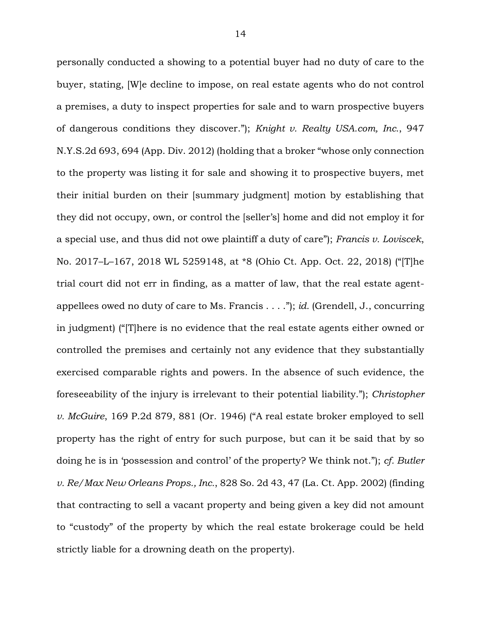personally conducted a showing to a potential buyer had no duty of care to the buyer, stating, [W]e decline to impose, on real estate agents who do not control a premises, a duty to inspect properties for sale and to warn prospective buyers of dangerous conditions they discover."); *Knight v. Realty USA.com, Inc.*, 947 N.Y.S.2d 693, 694 (App. Div. 2012) (holding that a broker "whose only connection to the property was listing it for sale and showing it to prospective buyers, met their initial burden on their [summary judgment] motion by establishing that they did not occupy, own, or control the [seller's] home and did not employ it for a special use, and thus did not owe plaintiff a duty of care"); *Francis v. Loviscek*, No. 2017–L–167, 2018 WL 5259148, at \*8 (Ohio Ct. App. Oct. 22, 2018) ("[T]he trial court did not err in finding, as a matter of law, that the real estate agentappellees owed no duty of care to Ms. Francis . . . ."); *id.* (Grendell, J., concurring in judgment) ("[T]here is no evidence that the real estate agents either owned or controlled the premises and certainly not any evidence that they substantially exercised comparable rights and powers. In the absence of such evidence, the foreseeability of the injury is irrelevant to their potential liability."); *Christopher v. McGuire*, 169 P.2d 879, 881 (Or. 1946) ("A real estate broker employed to sell property has the right of entry for such purpose, but can it be said that by so doing he is in 'possession and control' of the property? We think not."); *cf. Butler v. Re/Max New Orleans Props., Inc.*, 828 So. 2d 43, 47 (La. Ct. App. 2002) (finding that contracting to sell a vacant property and being given a key did not amount to "custody" of the property by which the real estate brokerage could be held strictly liable for a drowning death on the property).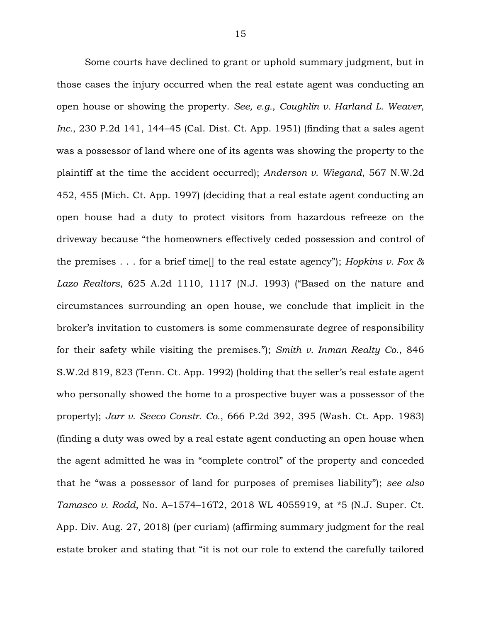Some courts have declined to grant or uphold summary judgment, but in those cases the injury occurred when the real estate agent was conducting an open house or showing the property. *See, e.g.*, *Coughlin v. Harland L. Weaver, Inc.*, 230 P.2d 141, 144–45 (Cal. Dist. Ct. App. 1951) (finding that a sales agent was a possessor of land where one of its agents was showing the property to the plaintiff at the time the accident occurred); *Anderson v. Wiegand*, 567 N.W.2d 452, 455 (Mich. Ct. App. 1997) (deciding that a real estate agent conducting an open house had a duty to protect visitors from hazardous refreeze on the driveway because "the homeowners effectively ceded possession and control of the premises . . . for a brief time[] to the real estate agency"); *Hopkins v. Fox & Lazo Realtors*, 625 A.2d 1110, 1117 (N.J. 1993) ("Based on the nature and circumstances surrounding an open house, we conclude that implicit in the broker's invitation to customers is some commensurate degree of responsibility for their safety while visiting the premises."); *Smith v. Inman Realty Co.*, 846 S.W.2d 819, 823 (Tenn. Ct. App. 1992) (holding that the seller's real estate agent who personally showed the home to a prospective buyer was a possessor of the property); *Jarr v. Seeco Constr. Co.*, 666 P.2d 392, 395 (Wash. Ct. App. 1983) (finding a duty was owed by a real estate agent conducting an open house when the agent admitted he was in "complete control" of the property and conceded that he "was a possessor of land for purposes of premises liability"); *see also Tamasco v. Rodd*, No. A–1574–16T2, 2018 WL 4055919, at \*5 (N.J. Super. Ct. App. Div. Aug. 27, 2018) (per curiam) (affirming summary judgment for the real estate broker and stating that "it is not our role to extend the carefully tailored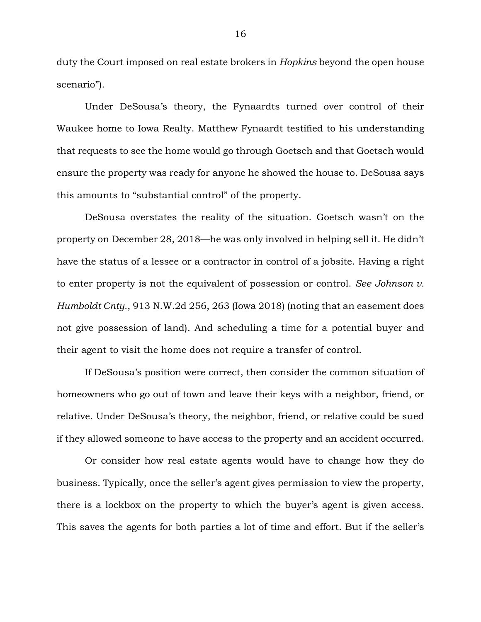duty the Court imposed on real estate brokers in *Hopkins* beyond the open house scenario").

Under DeSousa's theory, the Fynaardts turned over control of their Waukee home to Iowa Realty. Matthew Fynaardt testified to his understanding that requests to see the home would go through Goetsch and that Goetsch would ensure the property was ready for anyone he showed the house to. DeSousa says this amounts to "substantial control" of the property.

DeSousa overstates the reality of the situation. Goetsch wasn't on the property on December 28, 2018—he was only involved in helping sell it. He didn't have the status of a lessee or a contractor in control of a jobsite. Having a right to enter property is not the equivalent of possession or control. *See Johnson v. Humboldt Cnty.*, 913 N.W.2d 256, 263 (Iowa 2018) (noting that an easement does not give possession of land). And scheduling a time for a potential buyer and their agent to visit the home does not require a transfer of control.

If DeSousa's position were correct, then consider the common situation of homeowners who go out of town and leave their keys with a neighbor, friend, or relative. Under DeSousa's theory, the neighbor, friend, or relative could be sued if they allowed someone to have access to the property and an accident occurred.

Or consider how real estate agents would have to change how they do business. Typically, once the seller's agent gives permission to view the property, there is a lockbox on the property to which the buyer's agent is given access. This saves the agents for both parties a lot of time and effort. But if the seller's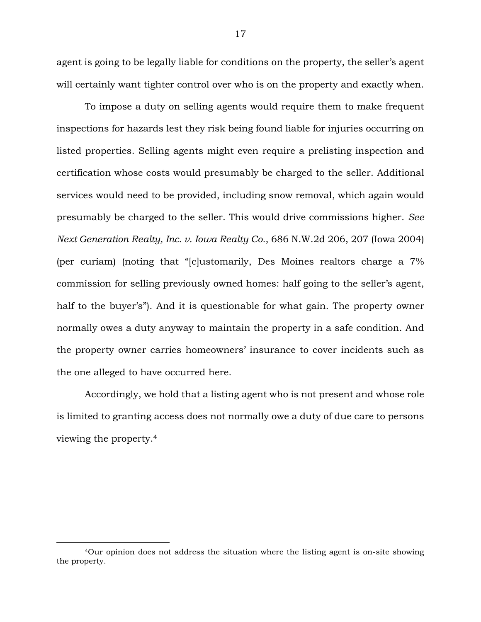agent is going to be legally liable for conditions on the property, the seller's agent will certainly want tighter control over who is on the property and exactly when.

To impose a duty on selling agents would require them to make frequent inspections for hazards lest they risk being found liable for injuries occurring on listed properties. Selling agents might even require a prelisting inspection and certification whose costs would presumably be charged to the seller. Additional services would need to be provided, including snow removal, which again would presumably be charged to the seller. This would drive commissions higher. *See Next Generation Realty, Inc. v. Iowa Realty Co.*, 686 N.W.2d 206, 207 (Iowa 2004) (per curiam) (noting that "[c]ustomarily, Des Moines realtors charge a 7% commission for selling previously owned homes: half going to the seller's agent, half to the buyer's"). And it is questionable for what gain. The property owner normally owes a duty anyway to maintain the property in a safe condition. And the property owner carries homeowners' insurance to cover incidents such as the one alleged to have occurred here.

Accordingly, we hold that a listing agent who is not present and whose role is limited to granting access does not normally owe a duty of due care to persons viewing the property.<sup>4</sup>

 $\overline{a}$ 

<sup>4</sup>Our opinion does not address the situation where the listing agent is on-site showing the property.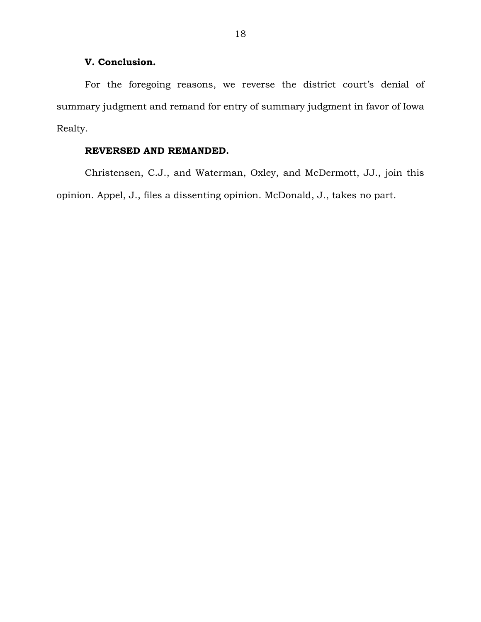# **V. Conclusion.**

For the foregoing reasons, we reverse the district court's denial of summary judgment and remand for entry of summary judgment in favor of Iowa Realty.

# **REVERSED AND REMANDED.**

Christensen, C.J., and Waterman, Oxley, and McDermott, JJ., join this opinion. Appel, J., files a dissenting opinion. McDonald, J., takes no part.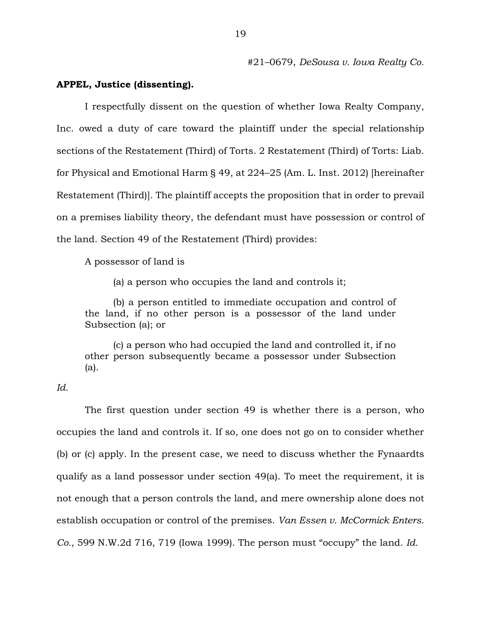#21–0679, *DeSousa v. Iowa Realty Co.*

## **APPEL, Justice (dissenting).**

I respectfully dissent on the question of whether Iowa Realty Company, Inc. owed a duty of care toward the plaintiff under the special relationship sections of the Restatement (Third) of Torts. 2 Restatement (Third) of Torts: Liab. for Physical and Emotional Harm § 49, at 224–25 (Am. L. Inst. 2012) [hereinafter Restatement (Third)]. The plaintiff accepts the proposition that in order to prevail on a premises liability theory, the defendant must have possession or control of the land. Section 49 of the Restatement (Third) provides:

A possessor of land is

(a) a person who occupies the land and controls it;

(b) a person entitled to immediate occupation and control of the land, if no other person is a possessor of the land under Subsection (a); or

(c) a person who had occupied the land and controlled it, if no other person subsequently became a possessor under Subsection (a).

## *Id.*

The first question under section 49 is whether there is a person, who occupies the land and controls it. If so, one does not go on to consider whether (b) or (c) apply. In the present case, we need to discuss whether the Fynaardts qualify as a land possessor under section 49(a). To meet the requirement, it is not enough that a person controls the land, and mere ownership alone does not establish occupation or control of the premises. *Van Essen v. McCormick Enters. Co.*, 599 N.W.2d 716, 719 (Iowa 1999). The person must "occupy" the land. *Id.*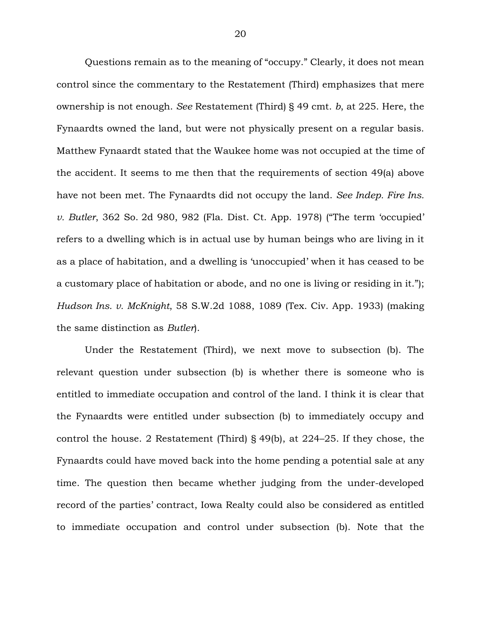Questions remain as to the meaning of "occupy." Clearly, it does not mean control since the commentary to the Restatement (Third) emphasizes that mere ownership is not enough. *See* Restatement (Third) § 49 cmt. *b*, at 225. Here, the Fynaardts owned the land, but were not physically present on a regular basis. Matthew Fynaardt stated that the Waukee home was not occupied at the time of the accident. It seems to me then that the requirements of section 49(a) above have not been met. The Fynaardts did not occupy the land. *See Indep. Fire Ins. v. Butler*, 362 So. 2d 980, 982 (Fla. Dist. Ct. App. 1978) ("The term 'occupied' refers to a dwelling which is in actual use by human beings who are living in it as a place of habitation, and a dwelling is 'unoccupied' when it has ceased to be a customary place of habitation or abode, and no one is living or residing in it."); *Hudson Ins. v. McKnight*, 58 S.W.2d 1088, 1089 (Tex. Civ. App. 1933) (making the same distinction as *Butler*).

Under the Restatement (Third), we next move to subsection (b). The relevant question under subsection (b) is whether there is someone who is entitled to immediate occupation and control of the land. I think it is clear that the Fynaardts were entitled under subsection (b) to immediately occupy and control the house. 2 Restatement (Third) § 49(b), at 224–25. If they chose, the Fynaardts could have moved back into the home pending a potential sale at any time. The question then became whether judging from the under-developed record of the parties' contract, Iowa Realty could also be considered as entitled to immediate occupation and control under subsection (b). Note that the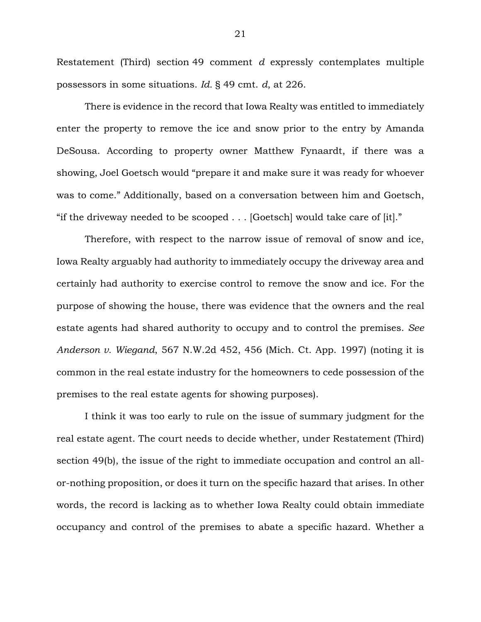Restatement (Third) section 49 comment *d* expressly contemplates multiple possessors in some situations. *Id.* § 49 cmt. *d*, at 226.

There is evidence in the record that Iowa Realty was entitled to immediately enter the property to remove the ice and snow prior to the entry by Amanda DeSousa. According to property owner Matthew Fynaardt, if there was a showing, Joel Goetsch would "prepare it and make sure it was ready for whoever was to come." Additionally, based on a conversation between him and Goetsch, "if the driveway needed to be scooped . . . [Goetsch] would take care of [it]."

Therefore, with respect to the narrow issue of removal of snow and ice, Iowa Realty arguably had authority to immediately occupy the driveway area and certainly had authority to exercise control to remove the snow and ice. For the purpose of showing the house, there was evidence that the owners and the real estate agents had shared authority to occupy and to control the premises. *See Anderson v. Wiegand*, 567 N.W.2d 452, 456 (Mich. Ct. App. 1997) (noting it is common in the real estate industry for the homeowners to cede possession of the premises to the real estate agents for showing purposes).

I think it was too early to rule on the issue of summary judgment for the real estate agent. The court needs to decide whether, under Restatement (Third) section 49(b), the issue of the right to immediate occupation and control an allor-nothing proposition, or does it turn on the specific hazard that arises. In other words, the record is lacking as to whether Iowa Realty could obtain immediate occupancy and control of the premises to abate a specific hazard. Whether a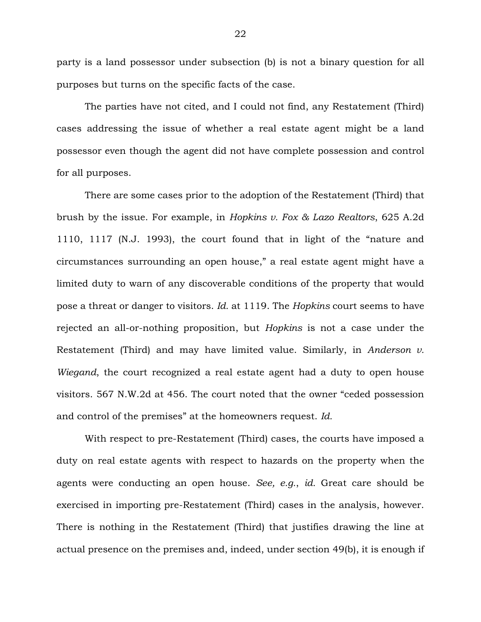party is a land possessor under subsection (b) is not a binary question for all purposes but turns on the specific facts of the case.

The parties have not cited, and I could not find, any Restatement (Third) cases addressing the issue of whether a real estate agent might be a land possessor even though the agent did not have complete possession and control for all purposes.

There are some cases prior to the adoption of the Restatement (Third) that brush by the issue. For example, in *Hopkins v. Fox & Lazo Realtors*, 625 A.2d 1110, 1117 (N.J. 1993), the court found that in light of the "nature and circumstances surrounding an open house," a real estate agent might have a limited duty to warn of any discoverable conditions of the property that would pose a threat or danger to visitors. *Id.* at 1119. The *Hopkins* court seems to have rejected an all-or-nothing proposition, but *Hopkins* is not a case under the Restatement (Third) and may have limited value. Similarly, in *Anderson v. Wiegand*, the court recognized a real estate agent had a duty to open house visitors. 567 N.W.2d at 456. The court noted that the owner "ceded possession and control of the premises" at the homeowners request. *Id.*

With respect to pre-Restatement (Third) cases, the courts have imposed a duty on real estate agents with respect to hazards on the property when the agents were conducting an open house. *See, e.g.*, *id.* Great care should be exercised in importing pre-Restatement (Third) cases in the analysis, however. There is nothing in the Restatement (Third) that justifies drawing the line at actual presence on the premises and, indeed, under section 49(b), it is enough if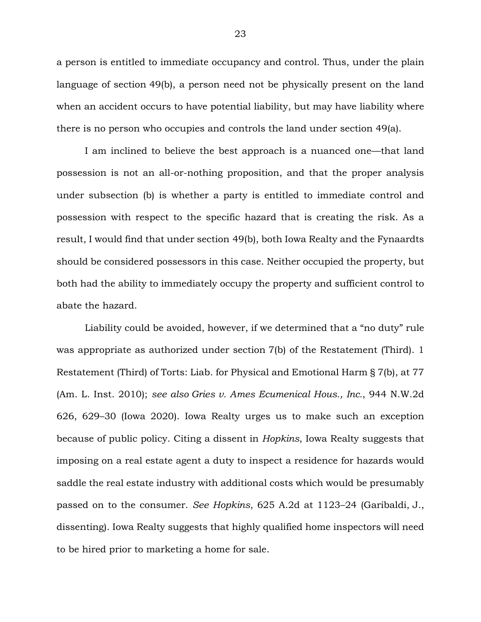a person is entitled to immediate occupancy and control. Thus, under the plain language of section 49(b), a person need not be physically present on the land when an accident occurs to have potential liability, but may have liability where there is no person who occupies and controls the land under section 49(a).

I am inclined to believe the best approach is a nuanced one—that land possession is not an all-or-nothing proposition, and that the proper analysis under subsection (b) is whether a party is entitled to immediate control and possession with respect to the specific hazard that is creating the risk. As a result, I would find that under section 49(b), both Iowa Realty and the Fynaardts should be considered possessors in this case. Neither occupied the property, but both had the ability to immediately occupy the property and sufficient control to abate the hazard.

Liability could be avoided, however, if we determined that a "no duty" rule was appropriate as authorized under section 7(b) of the Restatement (Third). 1 Restatement (Third) of Torts: Liab. for Physical and Emotional Harm § 7(b), at 77 (Am. L. Inst. 2010); *see also Gries v. Ames Ecumenical Hous., Inc.*, 944 N.W.2d 626, 629–30 (Iowa 2020). Iowa Realty urges us to make such an exception because of public policy. Citing a dissent in *Hopkins*, Iowa Realty suggests that imposing on a real estate agent a duty to inspect a residence for hazards would saddle the real estate industry with additional costs which would be presumably passed on to the consumer. *See Hopkins*, 625 A.2d at 1123–24 (Garibaldi, J., dissenting). Iowa Realty suggests that highly qualified home inspectors will need to be hired prior to marketing a home for sale.